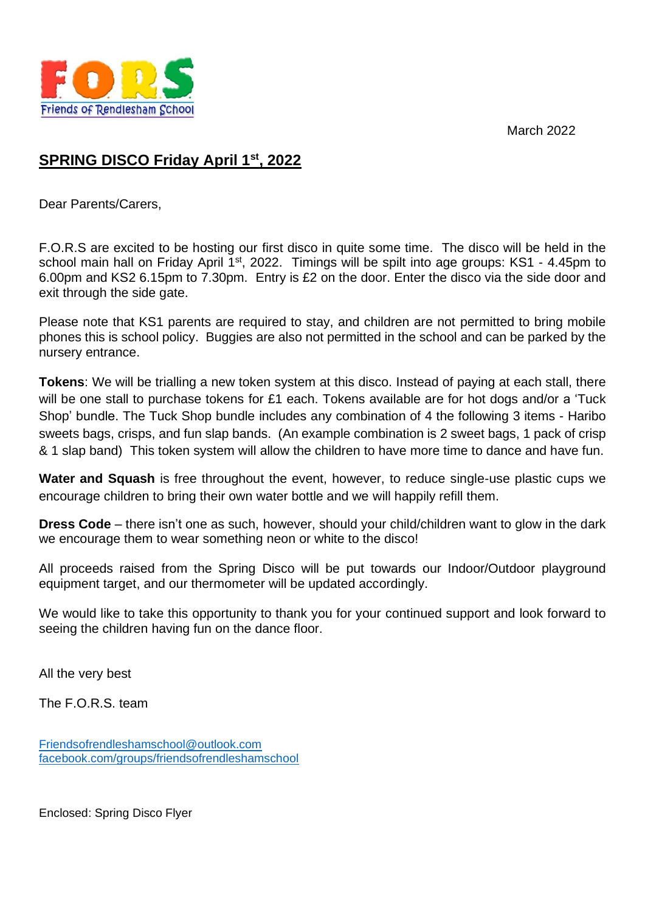March 2022



## **SPRING DISCO Friday April 1st, 2022**

Dear Parents/Carers,

F.O.R.S are excited to be hosting our first disco in quite some time. The disco will be held in the school main hall on Friday April 1<sup>st</sup>, 2022. Timings will be spilt into age groups: KS1 - 4.45pm to 6.00pm and KS2 6.15pm to 7.30pm. Entry is £2 on the door. Enter the disco via the side door and exit through the side gate.

Please note that KS1 parents are required to stay, and children are not permitted to bring mobile phones this is school policy. Buggies are also not permitted in the school and can be parked by the nursery entrance.

**Tokens**: We will be trialling a new token system at this disco. Instead of paying at each stall, there will be one stall to purchase tokens for £1 each. Tokens available are for hot dogs and/or a 'Tuck Shop' bundle. The Tuck Shop bundle includes any combination of 4 the following 3 items - Haribo sweets bags, crisps, and fun slap bands. (An example combination is 2 sweet bags, 1 pack of crisp & 1 slap band) This token system will allow the children to have more time to dance and have fun.

**Water and Squash** is free throughout the event, however, to reduce single-use plastic cups we encourage children to bring their own water bottle and we will happily refill them.

**Dress Code** – there isn't one as such, however, should your child/children want to glow in the dark we encourage them to wear something neon or white to the disco!

All proceeds raised from the Spring Disco will be put towards our Indoor/Outdoor playground equipment target, and our thermometer will be updated accordingly.

We would like to take this opportunity to thank you for your continued support and look forward to seeing the children having fun on the dance floor.

All the very best

The F.O.R.S. team

[Friendsofrendleshamschool@outlook.com](mailto:Friendsofrendleshamschool@outlook.com) [facebook.com/groups/friendsofrendleshamschool](http://www.facebook.com/groups/friendsofrendleshamschool)

Enclosed: Spring Disco Flyer